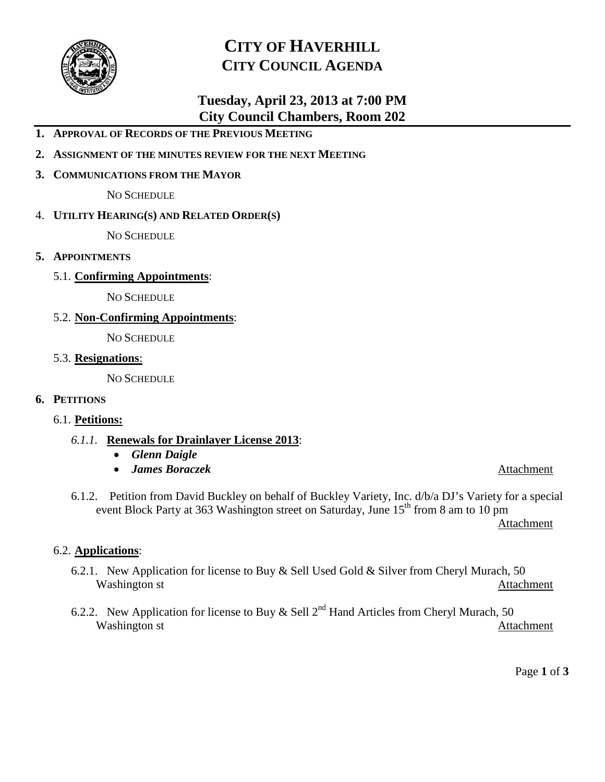

# **CITY OF HAVERHILL CITY COUNCIL AGENDA**

# **Tuesday, April 23, 2013 at 7:00 PM City Council Chambers, Room 202**

- **1. APPROVAL OF RECORDS OF THE PREVIOUS MEETING**
- **2. ASSIGNMENT OF THE MINUTES REVIEW FOR THE NEXT MEETING**
- **3. COMMUNICATIONS FROM THE MAYOR**

NO SCHEDULE

4. **UTILITY HEARING(S) AND RELATED ORDER(S)**

NO SCHEDULE

- **5. APPOINTMENTS**
	- 5.1. **Confirming Appointments**:

NO SCHEDULE

5.2. **Non-Confirming Appointments**:

NO SCHEDULE

5.3. **Resignations**:

NO SCHEDULE

#### **6. PETITIONS**

#### 6.1. **Petitions:**

- *6.1.1.* **Renewals for Drainlayer License 2013**:
	- *Glenn Daigle*
	- *James Boraczek* Attachment

6.1.2. Petition from David Buckley on behalf of Buckley Variety, Inc. d/b/a DJ's Variety for a special event Block Party at 363 Washington street on Saturday, June 15<sup>th</sup> from 8 am to 10 pm

Attachment

#### 6.2. **Applications**:

- 6.2.1. New Application for license to Buy & Sell Used Gold & Silver from Cheryl Murach, 50 Washington st Attachment
- 6.2.2. New Application for license to Buy & Sell  $2<sup>nd</sup>$  Hand Articles from Cheryl Murach, 50 Washington st Attachment

Page **1** of **3**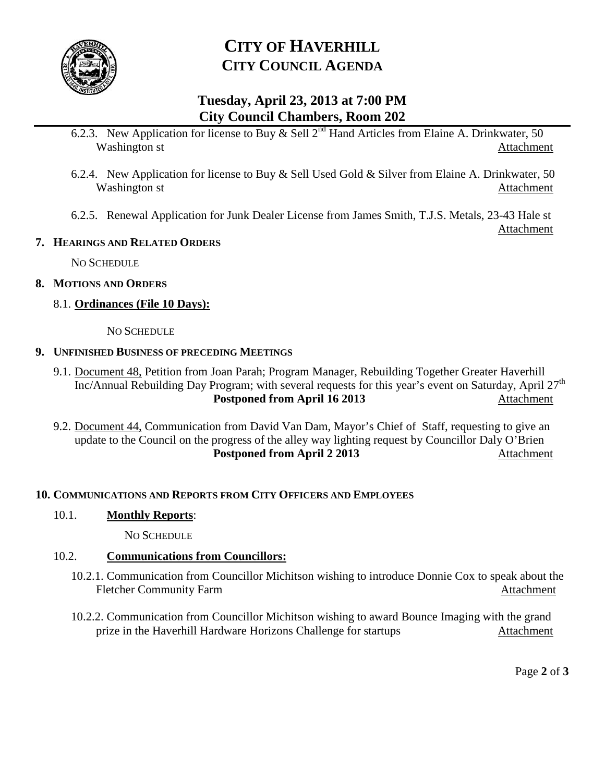

# **CITY OF HAVERHILL CITY COUNCIL AGENDA**

# **Tuesday, April 23, 2013 at 7:00 PM City Council Chambers, Room 202**

- 6.2.3. New Application for license to Buy  $\&$  Sell 2<sup>nd</sup> Hand Articles from Elaine A. Drinkwater, 50 Washington st **Attachment**
- 6.2.4. New Application for license to Buy & Sell Used Gold & Silver from Elaine A. Drinkwater, 50 Washington st Attachment
- 6.2.5. Renewal Application for Junk Dealer License from James Smith, T.J.S. Metals, 23-43 Hale st

### **7. HEARINGS AND RELATED ORDERS**

NO SCHEDULE

## **8. MOTIONS AND ORDERS**

# 8.1. **Ordinances (File 10 Days):**

NO SCHEDULE

## **9. UNFINISHED BUSINESS OF PRECEDING MEETINGS**

- 9.1. Document 48, Petition from Joan Parah; Program Manager, Rebuilding Together Greater Haverhill Inc/Annual Rebuilding Day Program; with several requests for this year's event on Saturday, April  $27<sup>th</sup>$ **Postponed from April 16 2013** Attachment
- 9.2. Document 44, Communication from David Van Dam, Mayor's Chief of Staff, requesting to give an update to the Council on the progress of the alley way lighting request by Councillor Daly O'Brien **Postponed from April 2 2013** Attachment

# **10. COMMUNICATIONS AND REPORTS FROM CITY OFFICERS AND EMPLOYEES**

# 10.1. **Monthly Reports**:

NO SCHEDULE

# 10.2. **Communications from Councillors:**

- 10.2.1. Communication from Councillor Michitson wishing to introduce Donnie Cox to speak about the Fletcher Community Farm Attachment
- 10.2.2. Communication from Councillor Michitson wishing to award Bounce Imaging with the grand prize in the Haverhill Hardware Horizons Challenge for startups Attachment

Page **2** of **3**

Attachment